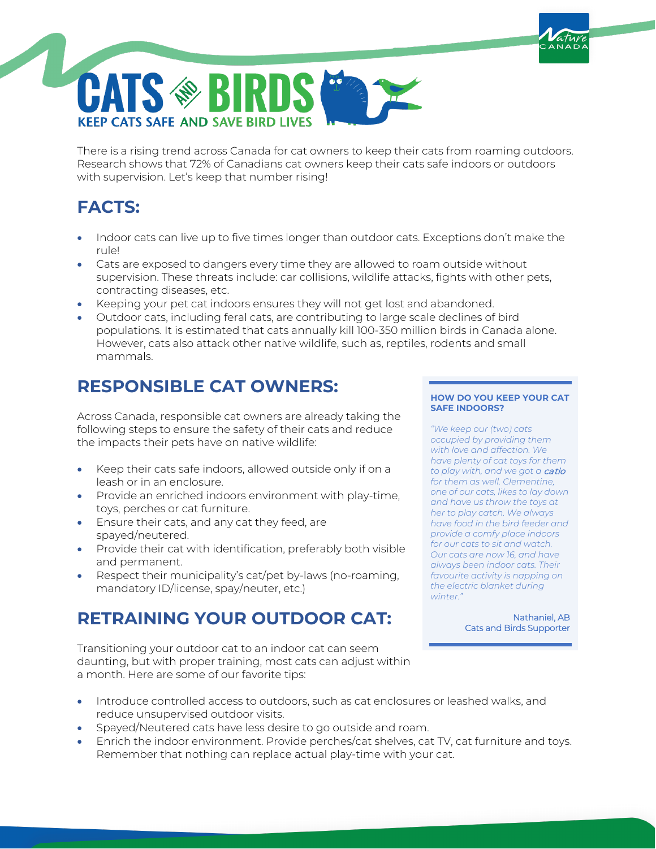There is a rising trend across Canada for cat owners to keep their cats from roaming outdoors. Research shows that 72% of Canadians cat owners keep their cats safe indoors or outdoors with supervision. Let's keep that number rising!

# **FACTS:**

- Indoor cats can live up to five times longer than outdoor cats. Exceptions don't make the rule!
- Cats are exposed to dangers every time they are allowed to roam outside without supervision. These threats include: car collisions, wildlife attacks, fights with other pets, contracting diseases, etc.
- Keeping your pet cat indoors ensures they will not get lost and abandoned.
- Outdoor cats, including feral cats, are contributing to large scale declines of bird populations. It is estimated that cats annually kill 100-350 million birds in Canada alone. However, cats also attack other native wildlife, such as, reptiles, rodents and small mammals.

### **RESPONSIBLE CAT OWNERS:**

**CATS ® BIRDS** 

**KEEP CATS SAFE AND SAVE BIRD LIVES** 

Across Canada, responsible cat owners are already taking the following steps to ensure the safety of their cats and reduce the impacts their pets have on native wildlife:

- Keep their cats safe indoors, allowed outside only if on a leash or in an enclosure.
- Provide an enriched indoors environment with play-time, toys, perches or cat furniture.
- Ensure their cats, and any cat they feed, are spayed/neutered.
- Provide their cat with identification, preferably both visible and permanent.
- Respect their municipality's cat/pet by-laws (no-roaming, mandatory ID/license, spay/neuter, etc.)

### **RETRAINING YOUR OUTDOOR CAT:**

Transitioning your outdoor cat to an indoor cat can seem daunting, but with proper training, most cats can adjust within a month. Here are some of our favorite tips:

#### **HOW DO YOU KEEP YOUR CAT SAFE INDOORS?**

*"We keep our (two) cats occupied by providing them with love and affection. We have plenty of cat toys for them to play with, and we got a* catio *for them as well. Clementine, one of our cats, likes to lay down and have us throw the toys at her to play catch. We always have food in the bird feeder and provide a comfy place indoors for our cats to sit and watch. Our cats are now 16, and have always been indoor cats. Their favourite activity is napping on the electric blanket during winter."*

> Nathaniel, AB Cats and Birds Supporter

- Introduce controlled access to outdoors, such as cat enclosures or leashed walks, and reduce unsupervised outdoor visits.
- Spayed/Neutered cats have less desire to go outside and roam.
- Enrich the indoor environment. Provide perches/cat shelves, cat TV, cat furniture and toys. Remember that nothing can replace actual play-time with your cat.